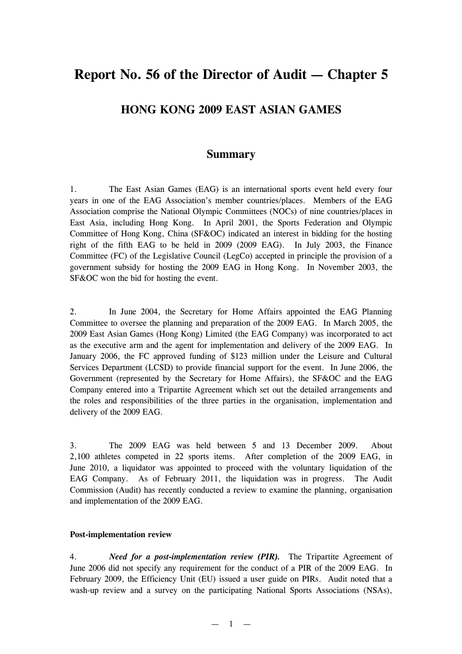# **Report No. 56 of the Director of Audit — Chapter 5**

# **HONG KONG 2009 EAST ASIAN GAMES**

# **Summary**

1. The East Asian Games (EAG) is an international sports event held every four years in one of the EAG Association's member countries/places. Members of the EAG Association comprise the National Olympic Committees (NOCs) of nine countries/places in East Asia, including Hong Kong. In April 2001, the Sports Federation and Olympic Committee of Hong Kong, China (SF&OC) indicated an interest in bidding for the hosting right of the fifth EAG to be held in 2009 (2009 EAG). In July 2003, the Finance Committee (FC) of the Legislative Council (LegCo) accepted in principle the provision of a government subsidy for hosting the 2009 EAG in Hong Kong. In November 2003, the SF&OC won the bid for hosting the event.

2. In June 2004, the Secretary for Home Affairs appointed the EAG Planning Committee to oversee the planning and preparation of the 2009 EAG. In March 2005, the 2009 East Asian Games (Hong Kong) Limited (the EAG Company) was incorporated to act as the executive arm and the agent for implementation and delivery of the 2009 EAG. In January 2006, the FC approved funding of \$123 million under the Leisure and Cultural Services Department (LCSD) to provide financial support for the event. In June 2006, the Government (represented by the Secretary for Home Affairs), the SF&OC and the EAG Company entered into a Tripartite Agreement which set out the detailed arrangements and the roles and responsibilities of the three parties in the organisation, implementation and delivery of the 2009 EAG.

3. The 2009 EAG was held between 5 and 13 December 2009. About 2,100 athletes competed in 22 sports items. After completion of the 2009 EAG, in June 2010, a liquidator was appointed to proceed with the voluntary liquidation of the EAG Company. As of February 2011, the liquidation was in progress. The Audit Commission (Audit) has recently conducted a review to examine the planning, organisation and implementation of the 2009 EAG.

#### **Post-implementation review**

4. *Need for a post-implementation review (PIR).* The Tripartite Agreement of June 2006 did not specify any requirement for the conduct of a PIR of the 2009 EAG. In February 2009, the Efficiency Unit (EU) issued a user guide on PIRs. Audit noted that a wash-up review and a survey on the participating National Sports Associations (NSAs),

 $-1$   $-$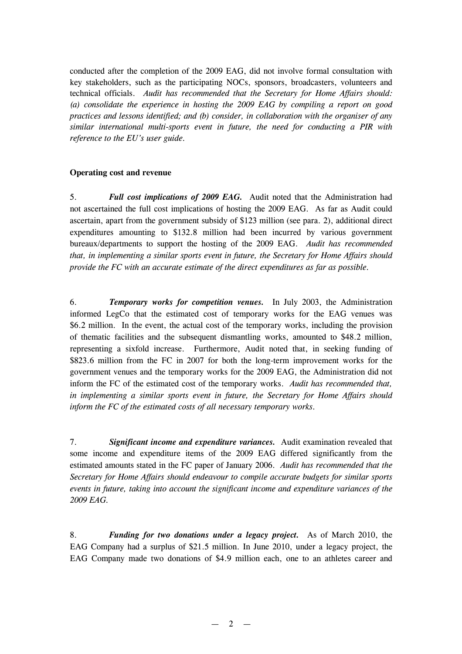conducted after the completion of the 2009 EAG, did not involve formal consultation with key stakeholders, such as the participating NOCs, sponsors, broadcasters, volunteers and technical officials. *Audit has recommended that the Secretary for Home Affairs should: (a) consolidate the experience in hosting the 2009 EAG by compiling a report on good practices and lessons identified; and (b) consider, in collaboration with the organiser of any similar international multi-sports event in future, the need for conducting a PIR with reference to the EU's user guide.*

## **Operating cost and revenue**

5. *Full cost implications of 2009 EAG.* Audit noted that the Administration had not ascertained the full cost implications of hosting the 2009 EAG. As far as Audit could ascertain, apart from the government subsidy of \$123 million (see para. 2), additional direct expenditures amounting to \$132.8 million had been incurred by various government bureaux/departments to support the hosting of the 2009 EAG. *Audit has recommended that, in implementing a similar sports event in future, the Secretary for Home Affairs should provide the FC with an accurate estimate of the direct expenditures as far as possible.*

6. *Temporary works for competition venues.* In July 2003, the Administration informed LegCo that the estimated cost of temporary works for the EAG venues was \$6.2 million. In the event, the actual cost of the temporary works, including the provision of thematic facilities and the subsequent dismantling works, amounted to \$48.2 million, representing a sixfold increase. Furthermore, Audit noted that, in seeking funding of \$823.6 million from the FC in 2007 for both the long-term improvement works for the government venues and the temporary works for the 2009 EAG, the Administration did not inform the FC of the estimated cost of the temporary works. *Audit has recommended that, in implementing a similar sports event in future, the Secretary for Home Affairs should inform the FC of the estimated costs of all necessary temporary works.*

7. *Significant income and expenditure variances.* Audit examination revealed that some income and expenditure items of the 2009 EAG differed significantly from the estimated amounts stated in the FC paper of January 2006. *Audit has recommended that the Secretary for Home Affairs should endeavour to compile accurate budgets for similar sports events in future, taking into account the significant income and expenditure variances of the 2009 EAG.*

8. *Funding for two donations under a legacy project.* As of March 2010, the EAG Company had a surplus of \$21.5 million. In June 2010, under a legacy project, the EAG Company made two donations of \$4.9 million each, one to an athletes career and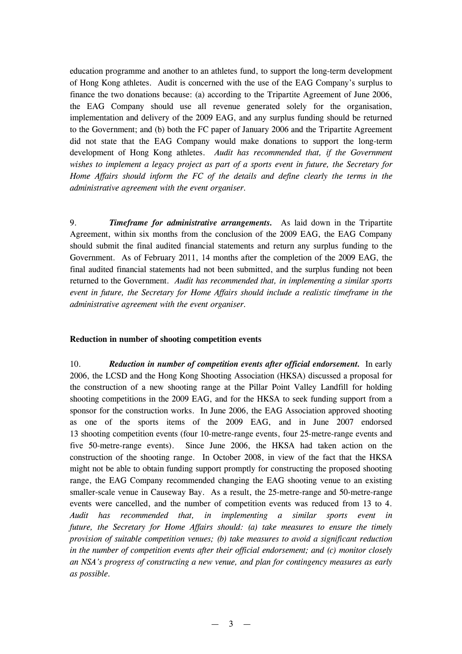education programme and another to an athletes fund, to support the long-term development of Hong Kong athletes. Audit is concerned with the use of the EAG Company's surplus to finance the two donations because: (a) according to the Tripartite Agreement of June 2006, the EAG Company should use all revenue generated solely for the organisation, implementation and delivery of the 2009 EAG, and any surplus funding should be returned to the Government; and (b) both the FC paper of January 2006 and the Tripartite Agreement did not state that the EAG Company would make donations to support the long-term development of Hong Kong athletes. *Audit has recommended that, if the Government wishes to implement a legacy project as part of a sports event in future, the Secretary for Home Affairs should inform the FC of the details and define clearly the terms in the administrative agreement with the event organiser.*

9. *Timeframe for administrative arrangements.* As laid down in the Tripartite Agreement, within six months from the conclusion of the 2009 EAG, the EAG Company should submit the final audited financial statements and return any surplus funding to the Government. As of February 2011, 14 months after the completion of the 2009 EAG, the final audited financial statements had not been submitted, and the surplus funding not been returned to the Government. *Audit has recommended that, in implementing a similar sports event in future, the Secretary for Home Affairs should include a realistic timeframe in the administrative agreement with the event organiser.*

#### **Reduction in number of shooting competition events**

10. *Reduction in number of competition events after official endorsement.* In early 2006, the LCSD and the Hong Kong Shooting Association (HKSA) discussed a proposal for the construction of a new shooting range at the Pillar Point Valley Landfill for holding shooting competitions in the 2009 EAG, and for the HKSA to seek funding support from a sponsor for the construction works. In June 2006, the EAG Association approved shooting as one of the sports items of the 2009 EAG, and in June 2007 endorsed 13 shooting competition events (four 10-metre-range events, four 25-metre-range events and five 50-metre-range events). Since June 2006, the HKSA had taken action on the construction of the shooting range. In October 2008, in view of the fact that the HKSA might not be able to obtain funding support promptly for constructing the proposed shooting range, the EAG Company recommended changing the EAG shooting venue to an existing smaller-scale venue in Causeway Bay. As a result, the 25-metre-range and 50-metre-range events were cancelled, and the number of competition events was reduced from 13 to 4. *Audit has recommended that, in implementing a similar sports event in future, the Secretary for Home Affairs should: (a) take measures to ensure the timely provision of suitable competition venues; (b) take measures to avoid a significant reduction in the number of competition events after their official endorsement; and (c) monitor closely an NSA's progress of constructing a new venue, and plan for contingency measures as early as possible.*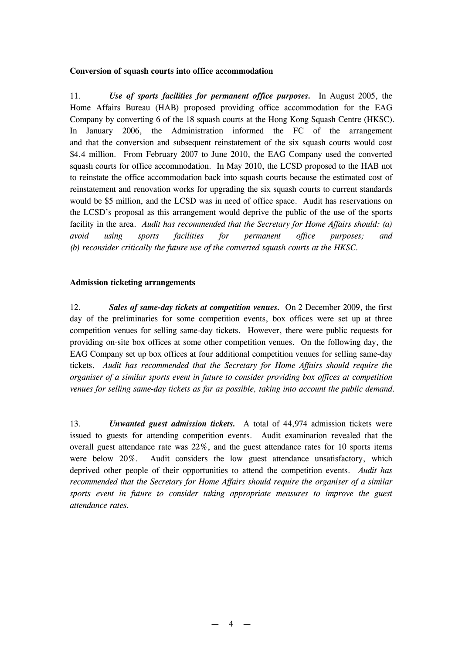#### **Conversion of squash courts into office accommodation**

11. *Use of sports facilities for permanent office purposes.* In August 2005, the Home Affairs Bureau (HAB) proposed providing office accommodation for the EAG Company by converting 6 of the 18 squash courts at the Hong Kong Squash Centre (HKSC). In January 2006, the Administration informed the FC of the arrangement and that the conversion and subsequent reinstatement of the six squash courts would cost \$4.4 million. From February 2007 to June 2010, the EAG Company used the converted squash courts for office accommodation. In May 2010, the LCSD proposed to the HAB not to reinstate the office accommodation back into squash courts because the estimated cost of reinstatement and renovation works for upgrading the six squash courts to current standards would be \$5 million, and the LCSD was in need of office space. Audit has reservations on the LCSD's proposal as this arrangement would deprive the public of the use of the sports facility in the area. *Audit has recommended that the Secretary for Home Affairs should: (a) avoid using sports facilities for permanent office purposes; and (b) reconsider critically the future use of the converted squash courts at the HKSC.*

#### **Admission ticketing arrangements**

12. *Sales of same-day tickets at competition venues.* On 2 December 2009, the first day of the preliminaries for some competition events, box offices were set up at three competition venues for selling same-day tickets. However, there were public requests for providing on-site box offices at some other competition venues. On the following day, the EAG Company set up box offices at four additional competition venues for selling same-day tickets. *Audit has recommended that the Secretary for Home Affairs should require the organiser of a similar sports event in future to consider providing box offices at competition venues for selling same-day tickets as far as possible, taking into account the public demand.*

13. *Unwanted guest admission tickets.* A total of 44,974 admission tickets were issued to guests for attending competition events. Audit examination revealed that the overall guest attendance rate was 22%, and the guest attendance rates for 10 sports items were below 20%. Audit considers the low guest attendance unsatisfactory, which deprived other people of their opportunities to attend the competition events. *Audit has recommended that the Secretary for Home Affairs should require the organiser of a similar sports event in future to consider taking appropriate measures to improve the guest attendance rates.*